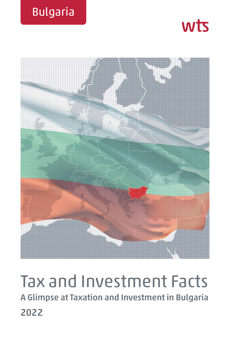





# Tax and Investment Facts **A Glimpse at Taxation and Investment in Bulgaria 2022**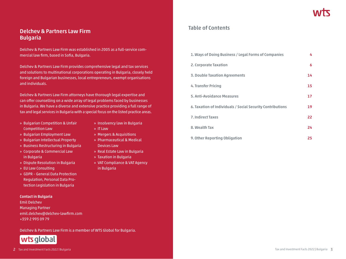### **Delchev & Partners Law Firm Bulgaria**

Delchev & Partners Law Firm was established in 2005 as a full-service commercial law firm, based in Sofia, Bulgaria.

Delchev & Partners Law Firm provides comprehensive legal and tax services and solutions to multinational corporations operating in Bulgaria, closely held foreign and Bulgarian businesses, local entrepreneurs, exempt organisations and individuals.

Delchev & Partners Law Firm attorneys have thorough legal expertise and can offer counselling on a wide array of legal problems faced by businesses in Bulgaria. We have a diverse and extensive practice providing a full range of tax and legal services in Bulgaria with a special focus on the listed practice areas.

- » Bulgarian Competition & Unfair » Insolvency law in Bulgaria Competition Law » IT Law
- » Bulgarian Employment Law » Mergers & Acquisitions
- » Bulgarian Intellectual Property » Pharmaceutical & Medical
- » Business Restructuring in Bulgaria Devices Law
- » Corporate & Commercial Law » Real Estate Law in Bulgaria in Bulgaria » Taxation in Bulgaria
- » Dispute Resolution in Bulgaria » VAT Compliance & VAT Agency
- » EU Law Consulting in Bulgaria
- » GDPR General Data Protection Regulation, Personal Data Protection Legislation in Bulgaria

#### **Contact in Bulgaria**

Emil Delchev Managing Partner emil.delchev@delchev-lawfirm.com +359 2 993 09 79

Delchev & Partners Law Firm is a member of WTS Global for Bulgaria.



- 
- 
- 
- 
- 
- 

### **Table of Contents**

| 1. Ways of Doing Business / Legal Forms of Companies       | 4  |
|------------------------------------------------------------|----|
| 2. Corporate Taxation                                      | 6  |
| <b>3. Double Taxation Agreements</b>                       | 14 |
| 4. Transfer Pricing                                        | 15 |
| 5. Anti-Avoidance Measures                                 | 17 |
| 6. Taxation of Individuals / Social Security Contributions | 19 |
| 7. Indirect Taxes                                          | 22 |
| 8. Wealth Tax                                              | 24 |
| 9. Other Reporting Obligation                              | 25 |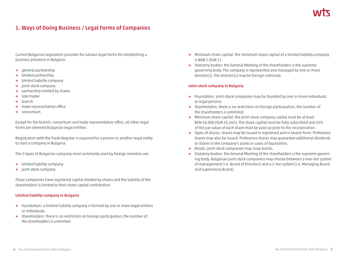## **1. Ways of Doing Business / Legal Forms of Companies**

Current Bulgarian legislation provides for various legal forms for establishing a business presence in Bulgaria:

- **→** general partnership
- **→** limited partnership
- **→** limited liability company
- **→** joint-stock company
- **→** partnership limited by shares
- **→** sole trader
- **→** branch
- **→** trade representative office
- **→** consortium

Except for the branch, consortium and trade representative office, all other legal forms are deemed Bulgarian legal entities.

Registration with the Trade Register is required for a person or another legal entity to start a company in Bulgaria.

The 2 types of Bulgarian company most commonly used by foreign investors are:

- **→** limited liability company
- **→** joint-stock company

These companies have registered capital divided by shares and the liability of the shareholders is limited to their share capital contribution.

#### **Limited liability company in Bulgaria**

- **→** Foundation: a limited liability company is formed by one or more legal entities or individuals.
- **→** Shareholders: there is no restriction on foreign participation, the number of the shareholders is unlimited.
- **→** Minimum share capital: the minimum share capital of a limited liability company is BGN 2 (EUR 1).
- **→** Statutory bodies: the General Meeting of the shareholders is the supreme governing body. The company is represented and managed by one or more director(s). The director(s) may be foreign nationals.

#### **Joint-stock company in Bulgaria**

- **→** Foundation: joint-stock companies may be founded by one or more individuals or legal persons.
- **→** Shareholders: there is no restriction on foreign participation, the number of the shareholders is unlimited.
- **→** Minimum share capital: the joint-stock company capital must be at least BGN 50,000 (EUR 25,565). The share capital must be fully subscribed and 25% of the par value of each share must be paid up prior to the incorporation.
- **→** Types of shares: shares may be issued in registered and in bearer form. Preference shares may also be issued. Preference shares may guarantee additional dividends or shares in the company's assets in cases of liquidation.
- **→** Bonds: joint-stock companies may issue bonds.
- **→** Statutory bodies: the General Meeting of the shareholders is the supreme governing body. Bulgarian joint-stock companies may choose between a one-tier system of management (i.e. Board of Directors) and a 2-tier system (i.e. Managing Board and Supervisory Board).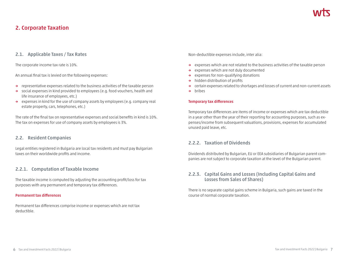### **2. Corporate Taxation**

### **2.1. Applicable Taxes / Tax Rates**

The corporate income tax rate is 10%.

An annual final tax is levied on the following expenses:

- **→** representative expenses related to the business activities of the taxable person
- **→** social expenses in kind provided to employees (e.g. food vouchers, health and life insurance of employees, etc.)
- **→** expenses in kind for the use of company assets by employees (e.g. company real estate property, cars, telephones, etc.)

The rate of the final tax on representative expenses and social benefits in kind is 10%. The tax on expenses for use of company assets by employees is 3%.

### **2.2. Resident Companies**

Legal entities registered in Bulgaria are local tax residents and must pay Bulgarian taxes on their worldwide profits and income.

### **2.2.1. Computation of Taxable Income**

The taxable income is computed by adjusting the accounting profit/loss for tax purposes with any permanent and temporary tax differences.

#### **Permanent tax differences**

Permanent tax differences comprise income or expenses which are not tax deductible.

Non-deductible expenses include, inter alia:

- **→** expenses which are not related to the business activities of the taxable person
- **→** expenses which are not duly documented
- **→** expenses for non-qualifying donations
- **→** hidden distribution of profits
- **→** certain expenses related to shortages and losses of current and non-current assets
- **→** bribes

#### **Temporary tax differences**

Temporary tax differences are items of income or expenses which are tax deductible in a year other than the year of their reporting for accounting purposes, such as expenses/income from subsequent valuations, provisions, expenses for accumulated unused paid leave, etc.

### **2.2.2. Taxation of Dividends**

Dividends distributed by Bulgarian, EU or EEA subsidiaries of Bulgarian parent companies are not subject to corporate taxation at the level of the Bulgarian parent.

### **2.2.3. Capital Gains and Losses (Including Capital Gains and Losses from Sales of Shares)**

There is no separate capital gains scheme in Bulgaria, such gains are taxed in the course of normal corporate taxation.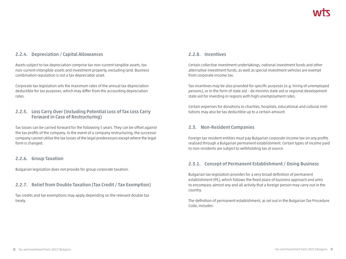### **2.2.4. Depreciation / Capital Allowances**

Assets subject to tax depreciation comprise tax non-current tangible assets, tax non-current intangible assets and investment property, excluding land. Business combination reputation is not a tax depreciable asset.

Corporate tax legislation sets the maximum rates of the annual tax depreciation deductible for tax purposes, which may differ from the accounting depreciation rates.

### **2.2.5. Loss Carry Over (Including Potential Loss of Tax Loss Carry Forward in Case of Restructuring)**

Tax losses can be carried forward for the following 5 years. They can be offset against the tax profits of the company. In the event of a company restructuring, the successor company cannot utilise the tax losses of the legal predecessors except where the legal form is changed.

### **2.2.6. Group Taxation**

Bulgarian legislation does not provide for group corporate taxation.

### **2.2.7. Relief from Double Taxation (Tax Credit / Tax Exemption)**

Tax credits and tax exemptions may apply depending on the relevant double tax treaty.

### **2.2.8. Incentives**

Certain collective investment undertakings, national investment funds and other alternative investment funds, as well as special investment vehicles are exempt from corporate income tax.

Tax incentives may be also provided for specific purposes (e.g. hiring of unemployed persons), or in the form of state aid – de minimis state aid or regional development state aid for investing in regions with high unemployment rates.

Certain expenses for donations to charities, hospitals, educational and cultural institutions may also be tax deductible up to a certain amount.

### **2.3. Non-Resident Companies**

Foreign tax resident entities must pay Bulgarian corporate income tax on any profits realised through a Bulgarian permanent establishment. Certain types of income paid to non-residents are subject to withholding tax at source.

### **2.3.1. Concept of Permanent Establishment / Doing Business**

Bulgarian tax legislation provides for a very broad definition of permanent establishment (PE), which follows the fixed place of business approach and aims to encompass almost any and all activity that a foreign person may carry out in the country.

The definition of permanent establishment, as set out in the Bulgarian Tax Procedure Code, includes: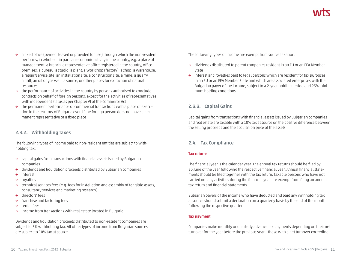- **→** a fixed place (owned, leased or provided for use) through which the non-resident performs, in whole or in part, an economic activity in the country, e.g. a place of management, a branch, a representative office registered in the country, office premises, a bureau, a studio, a plant, a workshop (factory), a shop, a warehouse, a repair/service site, an installation site, a construction site, a mine, a quarry, a drill, an oil or gas well, a source, or other places for extraction of natural resources
- **→** the performance of activities in the country by persons authorised to conclude contracts on behalf of foreign persons, except for the activities of representatives with independent status as per Chapter VI of the Commerce Act
- **→** the permanent performance of commercial transactions with a place of execution in the territory of Bulgaria even if the foreign person does not have a permanent representative or a fixed place

### **2.3.2. Withholding Taxes**

The following types of income paid to non-resident entities are subject to withholding tax:

- **→** capital gains from transactions with financial assets issued by Bulgarian companies
- **→** dividends and liquidation proceeds distributed by Bulgarian companies
- **→** interest
- **→** royalties
- **→** technical services fees (e.g. fees for installation and assembly of tangible assets, consultancy services and marketing research)
- **→** directors' fees
- **→** franchise and factoring fees
- **→** rental fees
- **→** income from transactions with real estate located in Bulgaria.

Dividends and liquidation proceeds distributed to non-resident companies are subject to 5% withholding tax. All other types of income from Bulgarian sources are subject to 10% tax at source.

The following types of income are exempt from source taxation:

- **→** dividends distributed to parent companies resident in an EU or an EEA Member State
- **→** interest and royalties paid to legal persons which are resident for tax purposes in an EU or an EEA Member State and which are associated enterprises with the Bulgarian payer of the income, subject to a 2-year holding period and 25% minimum holding conditions

### **2.3.3. Capital Gains**

Capital gains from transactions with financial assets issued by Bulgarian companies and real estate are taxable with a 10% tax at source on the positive difference between the selling proceeds and the acquisition price of the assets.

### **2.4. Tax Compliance**

#### **Tax returns**

The financial year is the calendar year. The annual tax returns should be filed by 30 June of the year following the respective financial year. Annual financial statements should be filed together with the tax return. Taxable persons who have not carried out any activities during the financial year are exempt from filing an annual tax return and financial statements.

Bulgarian payers of the income who have deducted and paid any withholding tax at source should submit a declaration on a quarterly basis by the end of the month following the respective quarter.

#### **Tax payment**

Companies make monthly or quarterly advance tax payments depending on their net turnover for the year before the previous year – those with a net turnover exceeding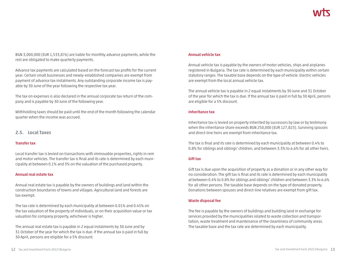BGN 3,000,000 (EUR 1,533,876) are liable for monthly advance payments, while the rest are obligated to make quarterly payments.

Advance tax payments are calculated based on the forecast tax profits for the current year. Certain small businesses and newly-established companies are exempt from payment of advance tax instalments. Any outstanding corporate income tax is payable by 30 June of the year following the respective tax year.

The tax on expenses is also declared in the annual corporate tax return of the company and is payable by 30 June of the following year.

Withholding taxes should be paid until the end of the month following the calendar quarter when the income was accrued.

### **2.5. Local Taxes**

#### **Transfer tax**

Local transfer tax is levied on transactions with immovable properties, rights in rem and motor vehicles. The transfer tax is final and its rate is determined by each municipality at between 0.1% and 3% on the valuation of the purchased property.

#### **Annual real estate tax**

Annual real estate tax is payable by the owners of buildings and land within the construction boundaries of towns and villages. Agricultural land and forests are tax exempt.

The tax rate is determined by each municipality at between 0.01% and 0.45% on the tax valuation of the property of individuals, or on their acquisition value or tax valuation for company property, whichever is higher.

The annual real estate tax is payable in 2 equal instalments by 30 June and by 31 October of the year for which the tax is due. If the annual tax is paid in full by 30 April, persons are eligible for a 5% discount.

#### **Annual vehicle tax**

Annual vehicle tax is payable by the owners of motor vehicles, ships and airplanes registered in Bulgaria. The tax rate is determined by each municipality within certain statutory ranges. The taxable base depends on the type of vehicle. Electric vehicles are exempt from the local annual vehicle tax.

The annual vehicle tax is payable in 2 equal instalments by 30 June and 31 October of the year for which the tax is due. If the annual tax is paid in full by 30 April, persons are eligible for a 5% discount.

#### **Inheritance tax**

Inheritance tax is levied on property inherited by successors by law or by testimony when the inheritance share exceeds BGN 250,000 (EUR 127,823). Surviving spouses and direct-line heirs are exempt from inheritance tax.

The tax is final and its rate is determined by each municipality at between 0.4% to 0.8% for siblings and siblings' children, and between 3.3% to 6.6% for all other heirs.

#### **Gift tax**

Gift tax is due upon the acquisition of property as a donation or in any other way for no consideration. The gift tax is final and its rate is determined by each municipality at between 0.4% to 0.8% for siblings and siblings' children and between 3.3% to 6.6% for all other persons. The taxable base depends on the type of donated property. Donations between spouses and direct-line relatives are exempt from gift tax.

#### **Waste disposal fee**

The fee is payable by the owners of buildings and building land in exchange for services provided by the municipalities related to waste collection and transportation, waste treatment and maintenance of the cleanliness of community areas. The taxable base and the tax rate are determined by each municipality.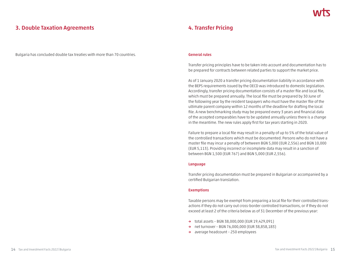### **3. Double Taxation Agreements**

Bulgaria has concluded double tax treaties with more than 70 countries.

### **4. Transfer Pricing**

#### **General rules**

Transfer pricing principles have to be taken into account and documentation has to be prepared for contracts between related parties to support the market price.

As of 1 January 2020 a transfer pricing documentation liability in accordance with the BEPS requirements issued by the OECD was introduced to domestic legislation. Accordingly, transfer pricing documentation consists of a master file and local file, which must be prepared annually. The local file must be prepared by 30 June of the following year by the resident taxpayers who must have the master file of the ultimate parent company within 12 months of the deadline for drafting the local file. A new benchmarking study may be prepared every 3 years and financial data of the accepted comparables have to be updated annually unless there is a change in the meantime. The new rules apply first for tax years starting in 2020.

Failure to prepare a local file may result in a penalty of up to 5% of the total value of the controlled transactions which must be documented. Persons who do not have a master file may incur a penalty of between BGN 5,000 (EUR 2,556) and BGN 10,000 (EUR 5,113). Providing incorrect or incomplete data may result in a sanction of between BGN 1,500 (EUR 767) and BGN 5,000 (EUR 2,556).

#### **Language**

Transfer pricing documentation must be prepared in Bulgarian or accompanied by a certified Bulgarian translation.

#### **Exemptions**

Taxable persons may be exempt from preparing a local file for their controlled transactions if they do not carry out cross-border controlled transactions, or if they do not exceed at least 2 of the criteria below as of 31 December of the previous year:

- **→** total assets BGN 38,000,000 (EUR 19,429,091)
- **→** net turnover BGN 76,000,000 (EUR 38,858,183)
- **→** average headcount 250 employees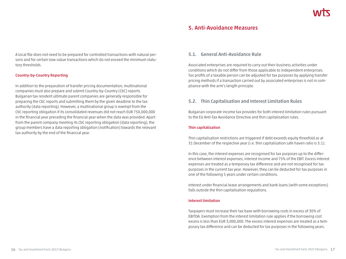### **5. Anti-Avoidance Measures**

A local file does not need to be prepared for controlled transactions with natural persons and for certain low-value transactions which do not exceed the minimum statutory thresholds.

### **Country-by-Country Reporting**

In addition to the preparation of transfer pricing documentation, multinational companies must also prepare and submit Country-by-Country (CbC) reports. Bulgarian tax resident ultimate parent companies are generally responsible for preparing the CbC reports and submitting them by the given deadline to the tax authority (data reporting). However, a multinational group is exempt from the CbC reporting obligation if its consolidated revenues did not reach EUR 750,000,000 in the financial year preceding the financial year when the data was provided. Apart from the parent company meeting its CbC reporting obligation (data reporting), the group members have a data reporting obligation (notification) towards the relevant tax authority by the end of the financial year.

### **5.1. General Anti-Avoidance Rule**

Associated enterprises are required to carry out their business activities under conditions which do not differ from those applicable to independent enterprises. Tax profits of a taxable person can be adjusted for tax purposes by applying transfer pricing methods if a transaction carried out by associated enterprises is not in compliance with the arm's length principle.

### **5.2. Thin Capitalisation and Interest Limitation Rules**

Bulgarian corporate income tax provides for both interest limitation rules pursuant to the EU Anti-Tax Avoidance Directive and thin capitalisation rules.

#### **Thin capitalisation**

Thin capitalisation restrictions are triggered if debt exceeds equity threefold as at 31 December of the respective year (i.e. thin capitalisation safe haven ratio is 3:1).

In this case, the interest expenses are recognised for tax purposes up to the difference between interest expenses, interest income and 75% of the EBIT. Excess interest expenses are treated as a temporary tax difference and are not recognised for tax purposes in the current tax year. However, they can be deducted for tax purposes in one of the following 5 years under certain conditions.

Interest under financial lease arrangements and bank loans (with some exceptions) falls outside the thin capitalisation regulations.

#### **Interest limitation**

Taxpayers must increase their tax base with borrowing costs in excess of 30% of EBITDA. Exemption from the interest limitation rule applies if the borrowing cost excess is less than EUR 3,000,000. The excess interest expenses are treated as a temporary tax difference and can be deducted for tax purposes in the following years.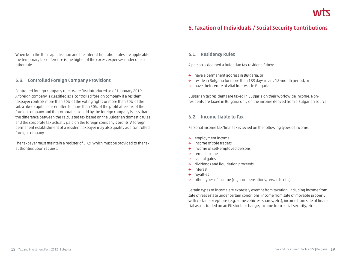### **6. Taxation of Individuals / Social Security Contributions**

When both the thin capitalisation and the interest limitation rules are applicable, the temporary tax difference is the higher of the excess expenses under one or other rule.

### **5.3. Controlled Foreign Company Provisions**

Controlled foreign company rules were first introduced as of 1 January 2019. A foreign company is classified as a controlled foreign company if a resident taxpayer controls more than 50% of the voting rights or more than 50% of the subscribed capital or is entitled to more than 50% of the profit after-tax of the foreign company and the corporate tax paid by the foreign company is less than the difference between the calculated tax based on the Bulgarian domestic rules and the corporate tax actually paid on the foreign company's profits. A foreign permanent establishment of a resident taxpayer may also qualify as a controlled foreign company.

The taxpayer must maintain a register of CFCs, which must be provided to the tax authorities upon request.

### **6.1. Residency Rules**

A person is deemed a Bulgarian tax resident if they:

- **→** have a permanent address in Bulgaria, or
- **→** reside in Bulgaria for more than 183 days in any 12-month period, or
- **→** have their centre of vital interests in Bulgaria.

Bulgarian tax residents are taxed in Bulgaria on their worldwide income. Nonresidents are taxed in Bulgaria only on the income derived from a Bulgarian source.

### **6.2. Income Liable to Tax**

Personal income tax/final tax is levied on the following types of income:

- **→** employment income
- **→** income of sole traders
- **→** income of self-employed persons
- **→** rental income
- **→** capital gains
- **→** dividends and liquidation proceeds
- **→** interest
- **→** royalties
- **→** other types of income (e.g. compensations, rewards, etc.)

Certain types of income are expressly exempt from taxation, including income from sale of real estate under certain conditions, income from sale of movable property with certain exceptions (e.g. some vehicles, shares, etc.), income from sale of financial assets traded on an EU stock exchange, income from social security, etc.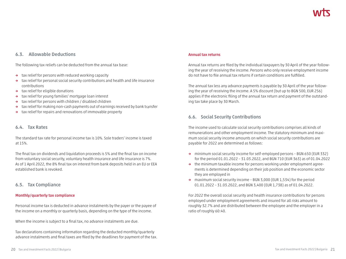### **6.3. Allowable Deductions**

The following tax reliefs can be deducted from the annual tax base:

- **→** tax relief for persons with reduced working capacity
- **→** tax relief for personal social security contributions and health and life insurance contributions
- **→** tax relief for eligible donations
- **→** tax relief for young families' mortgage loan interest
- **→** tax relief for persons with children / disabled children
- **→** tax relief for making non-cash payments out of earnings received by bank transfer
- **→** tax relief for repairs and renovations of immovable property

### **6.4. Tax Rates**

The standard tax rate for personal income tax is 10%. Sole traders' income is taxed at 15%.

The final tax on dividends and liquidation proceeds is 5% and the final tax on income from voluntary social security, voluntary health insurance and life insurance is 7%. As of 1 April 2022, the 8% final tax on interest from bank deposits held in an EU or EEA established bank is revoked.

### **6.5. Tax Compliance**

### **Monthly/quarterly tax compliance**

Personal income tax is deducted in advance instalments by the payer or the payee of the income on a monthly or quarterly basis, depending on the type of the income.

When the income is subject to a final tax, no advance instalments are due.

Tax declarations containing information regarding the deducted monthly/quarterly advance instalments and final taxes are filed by the deadlines for payment of the tax.

#### **Annual tax returns**

Annual tax returns are filed by the individual taxpayers by 30 April of the year following the year of receiving the income. Persons who only receive employment income do not have to file annual tax returns if certain conditions are fulfilled.

The annual tax less any advance payments is payable by 30 April of the year following the year of receiving the income. A 5% discount (but up to BGN 500, EUR 256) applies if the electronic filing of the annual tax return and payment of the outstanding tax take place by 30 March.

### **6.6. Social Security Contributions**

The income used to calculate social security contributions comprises all kinds of remunerations and other employment income. The statutory minimum and maximum social security income amounts on which social security contributions are payable for 2022 are determined as follows:

- **→** minimum social security income for self-employed persons BGN 650 (EUR 332) for the period 01.01.2022 – 31.03.2022, and BGN 710 (EUR 363) as of 01.04.2022
- **→** the minimum taxable income for persons working under employment agreements is determined depending on their job position and the economic sector they are employed in
- **→** maximum social security income BGN 3,000 (EUR 1,534) for the period 01.01.2022 – 31.03.2022, and BGN 3,400 (EUR 1,738) as of 01.04.2022.

For 2022 the overall social security and health insurance contributions for persons employed under employment agreements and insured for all risks amount to roughly 32.7% and are distributed between the employee and the employer in a ratio of roughly 60:40.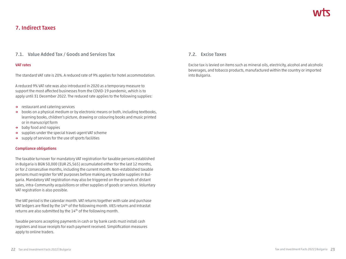### **7. Indirect Taxes**

### **7.1. Value Added Tax / Goods and Services Tax**

#### **VAT rates**

The standard VAT rate is 20%. A reduced rate of 9% applies for hotel accommodation.

A reduced 9% VAT rate was also introduced in 2020 as a temporary measure to support the most affected businesses from the COVID-19 pandemic, which is to apply until 31 December 2022. The reduced rate applies to the following supplies:

- **→** restaurant and catering services
- **→** books on a physical medium or by electronic means or both, including textbooks, learning books, children's picture, drawing or colouring books and music printed or in manuscript form
- **→** baby food and nappies
- **→** supplies under the special travel-agent VAT scheme
- **→** supply of services for the use of sports facilities

#### **Compliance obligations**

The taxable turnover for mandatory VAT registration for taxable persons established in Bulgaria is BGN 50,000 (EUR 25,565) accumulated either for the last 12 months, or for 2 consecutive months, including the current month. Non-established taxable persons must register for VAT purposes before making any taxable supplies in Bulgaria. Mandatory VAT registration may also be triggered on the grounds of distant sales, intra-Community acquisitions or other supplies of goods or services. Voluntary VAT registration is also possible.

The VAT period is the calendar month. VAT returns together with sale and purchase VAT ledgers are filed by the 14<sup>th</sup> of the following month. VIES returns and Intrastat returns are also submitted by the 14<sup>th</sup> of the following month.

Taxable persons accepting payments in cash or by bank cards must install cash registers and issue receipts for each payment received. Simplification measures apply to online traders.

### **7.2. Excise Taxes**

Excise tax is levied on items such as mineral oils, electricity, alcohol and alcoholic beverages, and tobacco products, manufactured within the country or imported into Bulgaria.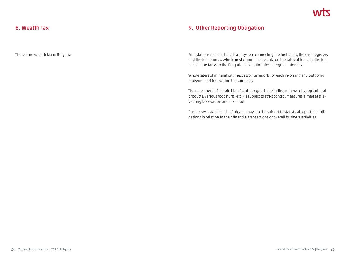### **8. Wealth Tax**

There is no wealth tax in Bulgaria.

### **9. Other Reporting Obligation**

Fuel stations must install a fiscal system connecting the fuel tanks, the cash registers and the fuel pumps, which must communicate data on the sales of fuel and the fuel level in the tanks to the Bulgarian tax authorities at regular intervals.

Wholesalers of mineral oils must also file reports for each incoming and outgoing movement of fuel within the same day.

The movement of certain high fiscal-risk goods (including mineral oils, agricultural products, various foodstuffs, etc.) is subject to strict control measures aimed at preventing tax evasion and tax fraud.

Businesses established in Bulgaria may also be subject to statistical reporting obligations in relation to their financial transactions or overall business activities.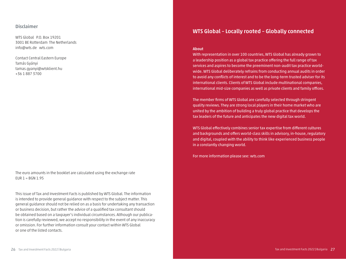### **Disclaimer**

WTS Global P.O. Box 19201 3001 BE Rotterdam The Netherlands info@wts.de wts.com

Contact Central Eastern Europe Tamás Gyányi tamas.gyanyi@wtsklient.hu +36 1 887 3700

The euro amounts in the booklet are calculated using the exchange rate  $EUR 1 = BGN 1.95$ 

This issue of Tax and Investment Facts is published by WTS Global. The information is intended to provide general guidance with respect to the subject matter. This general guidance should not be relied on as a basis for undertaking any transaction or business decision, but rather the advice of a qualified tax consultant should be obtained based on a taxpayer's individual circumstances. Although our publication is carefully reviewed, we accept no responsibility in the event of any inaccuracy or omission. For further information consult your contact within WTS Global or one of the listed contacts.

### **WTS Global – Locally rooted – Globally connected**

#### **About**

With representation in over 100 countries, WTS Global has already grown to a leadership position as a global tax practice offering the full range of tax services and aspires to become the preeminent non-audit tax practice worldwide. WTS Global deliberately refrains from conducting annual audits in order to avoid any conflicts of interest and to be the long-term trusted adviser for its international clients. Clients of WTS Global include multinational companies, international mid-size companies as well as private clients and family offices.

The member firms of WTS Global are carefully selected through stringent quality reviews. They are strong local players in their home market who are united by the ambition of building a truly global practice that develops the tax leaders of the future and anticipates the new digital tax world.

WTS Global effectively combines senior tax expertise from different cultures and backgrounds and offers world-class skills in advisory, in-house, regulatory and digital, coupled with the ability to think like experienced business people in a constantly changing world.

For more information please see: wts.com